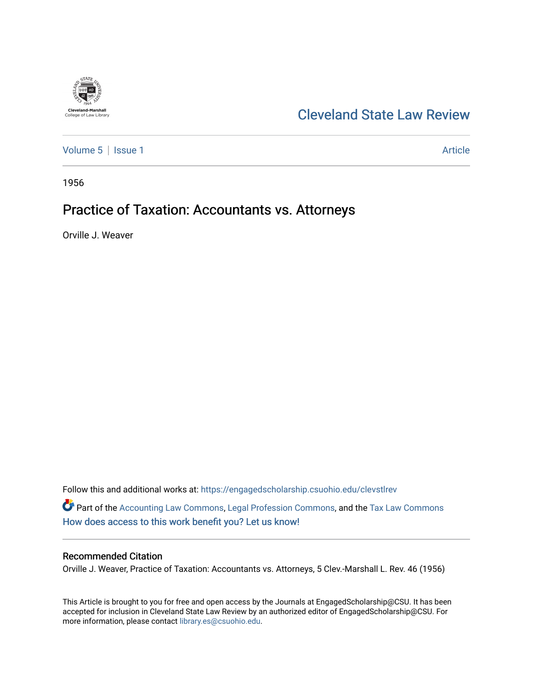

## [Cleveland State Law Review](https://engagedscholarship.csuohio.edu/clevstlrev)

[Volume 5](https://engagedscholarship.csuohio.edu/clevstlrev/vol5) | [Issue 1](https://engagedscholarship.csuohio.edu/clevstlrev/vol5/iss1) Article

1956

## Practice of Taxation: Accountants vs. Attorneys

Orville J. Weaver

Follow this and additional works at: [https://engagedscholarship.csuohio.edu/clevstlrev](https://engagedscholarship.csuohio.edu/clevstlrev?utm_source=engagedscholarship.csuohio.edu%2Fclevstlrev%2Fvol5%2Fiss1%2F7&utm_medium=PDF&utm_campaign=PDFCoverPages)

Part of the [Accounting Law Commons](http://network.bepress.com/hgg/discipline/828?utm_source=engagedscholarship.csuohio.edu%2Fclevstlrev%2Fvol5%2Fiss1%2F7&utm_medium=PDF&utm_campaign=PDFCoverPages), [Legal Profession Commons,](http://network.bepress.com/hgg/discipline/1075?utm_source=engagedscholarship.csuohio.edu%2Fclevstlrev%2Fvol5%2Fiss1%2F7&utm_medium=PDF&utm_campaign=PDFCoverPages) and the [Tax Law Commons](http://network.bepress.com/hgg/discipline/898?utm_source=engagedscholarship.csuohio.edu%2Fclevstlrev%2Fvol5%2Fiss1%2F7&utm_medium=PDF&utm_campaign=PDFCoverPages)  [How does access to this work benefit you? Let us know!](http://library.csuohio.edu/engaged/)

## Recommended Citation

Orville J. Weaver, Practice of Taxation: Accountants vs. Attorneys, 5 Clev.-Marshall L. Rev. 46 (1956)

This Article is brought to you for free and open access by the Journals at EngagedScholarship@CSU. It has been accepted for inclusion in Cleveland State Law Review by an authorized editor of EngagedScholarship@CSU. For more information, please contact [library.es@csuohio.edu](mailto:library.es@csuohio.edu).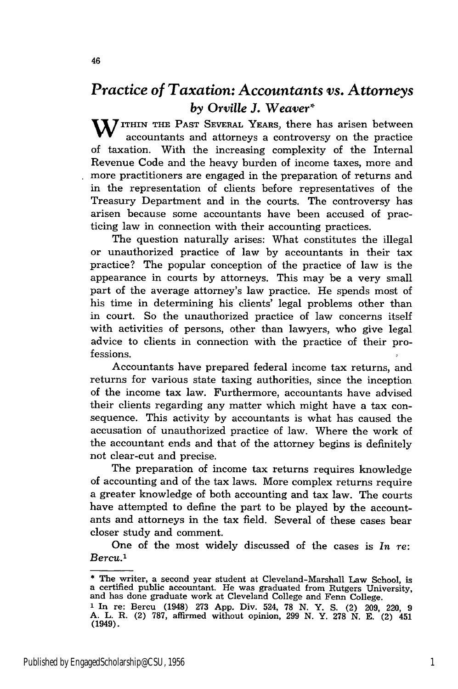## *Practice of Taxation: Accountants vs. Attorneys* **by Orville J. Weaver\***<br>**M** ITHIN THE PAST SEVERAL YEARS, there has arisen between

accountants and attorneys a controversy on the practice of taxation. With the increasing complexity of the Internal Revenue Code and the heavy burden of income taxes, more and more practitioners are engaged in the preparation of returns and in the representation of clients before representatives of the Treasury Department and in the courts. The controversy has arisen because some accountants have been accused of practicing law in connection with their accounting practices.

The question naturally arises: What constitutes the illegal or unauthorized practice of law **by** accountants in their tax practice? The popular conception of the practice of law is the appearance in courts by attorneys. This may be a very small part of the average attorney's law practice. He spends most of his time in determining his clients' legal problems other than in court. So the unauthorized practice of law concerns itself with activities of persons, other than lawyers, who give legal advice to clients in connection with the practice of their professions.

Accountants have prepared federal income tax returns, and returns for various state taxing authorities, since the inception of the income tax law. Furthermore, accountants have advised their clients regarding any matter which might have a tax consequence. This activity by accountants is what has caused the accusation of unauthorized practice of law. Where the work of the accountant ends and that of the attorney begins is definitely not clear-cut and precise.

The preparation of income tax returns requires knowledge of accounting and of the tax laws. More complex returns require a greater knowledge of both accounting and tax law. The courts have attempted to define the part to be played by the accountants and attorneys in the tax field. Several of these cases bear closer study and comment.

One of the most widely discussed of the cases is *In re: Bercu.'*

(1949).

**<sup>\*</sup>** The writer, a second year student at Cleveland-Marshall Law School, is a certified public accountant. He was graduated from Rutgers University, and has done graduate work at Cleveland College and Fenn College. **1** In re: Bercu (1948) **273 App.** Div. 524, 78 **N.** Y. **S.** (2) 209, 220, 9 A. L. R. (2) 787, affirmed without opinion, 299 N. Y. 278 N. **E.** (2) 451

<sup>46</sup>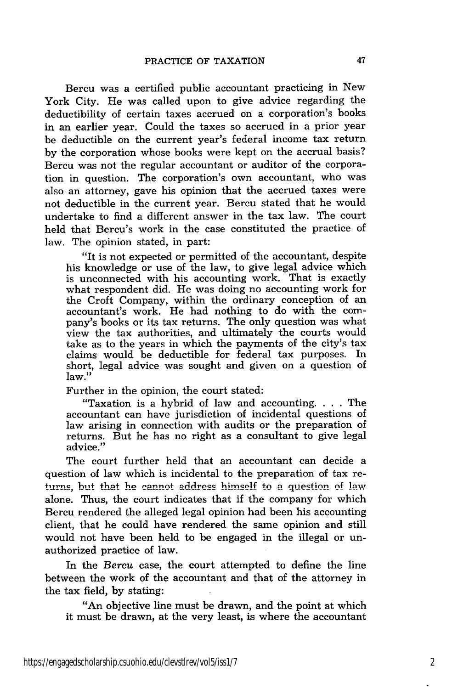Bercu was a certified public accountant practicing in New York City. He was called upon to give advice regarding the deductibility of certain taxes accrued on a corporation's books in an earlier year. Could the taxes so accrued in a prior year be deductible on the current year's federal income tax return by the corporation whose books were kept on the accrual basis? Bercu was not the regular accountant or auditor of the corporation in question. The corporation's own accountant, who was also an attorney, gave his opinion that the accrued taxes were not deductible in the current year. Bercu stated that he would undertake to find a different answer in the tax law. The court held that Bercu's work in the case constituted the practice of law. The opinion stated, in part:

"It is not expected or permitted of the accountant, despite his knowledge or use of the law, to give legal advice which is unconnected with his accounting work. That is exactly what respondent did. He was doing no accounting work for the Croft Company, within the ordinary conception of an accountant's work. He had nothing to do with the company's books or its tax returns. The only question was what view the tax authorities, and ultimately the courts would take as to the years in which the payments of the city's tax claims would be deductible for federal tax purposes. In short, legal advice was sought and given on a question of law."

Further in the opinion, the court stated:

"Taxation is a hybrid of law and accounting. . **.** . The accountant can have jurisdiction of incidental questions of law arising in connection with audits or the preparation of returns. But he has no right as a consultant to give legal advice."

The court further held that an accountant can decide a question of law which is incidental to the preparation of tax returns, but that he cannot address himself to a question of law alone. Thus, the court indicates that if the company for which Bercu rendered the alleged legal opinion had been his accounting client, that he could have rendered the same opinion and still would not have been held to be engaged in the illegal or unauthorized practice of law.

In the *Bercu* case, the court attempted to define the line between the work of the accountant and that of the attorney in the tax field, by stating:

"An objective line must be drawn, and the point at which it must be drawn, at the very least, is where the accountant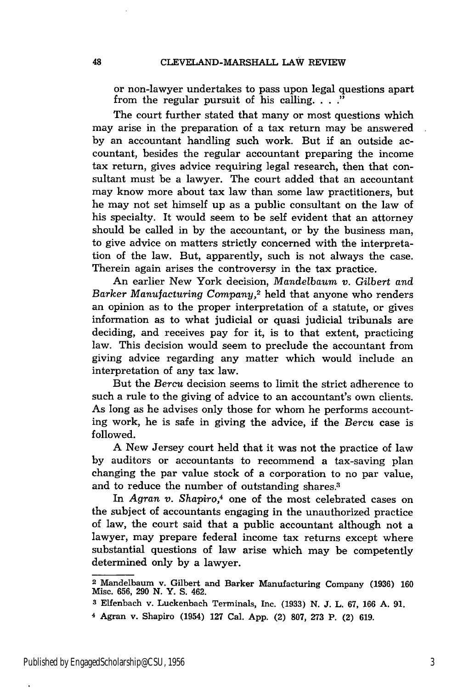or non-lawyer undertakes to pass upon legal questions apart from the regular pursuit of his calling.  $\ldots$ 

The court further stated that many or most questions which may arise in the preparation of a tax return may be answered by an accountant handling such work. But if an outside accountant, besides the regular accountant preparing the income tax return, gives advice requiring legal research, then that consultant must be a lawyer. The court added that an accountant may know more about tax law than some law practitioners, but he may not set himself up as a public consultant on the law of his specialty. It would seem to be self evident that an attorney should be called in by the accountant, or by the business man, to give advice on matters strictly concerned with the interpretation of the law. But, apparently, such is not always the case. Therein again arises the controversy in the tax practice.

An earlier New York decision, *Mandelbaum v. Gilbert and Barker Manufacturing Company,2* held that anyone who renders an opinion as to the proper interpretation of a statute, or gives information as to what judicial or quasi judicial tribunals are deciding, and receives pay for it, is to that extent, practicing law. This decision would seem to preclude the accountant from giving advice regarding any matter which would include an interpretation of any tax law.

But the *Bercu* decision seems to limit the strict adherence to such a rule to the giving of advice to an accountant's own clients. As long as he advises only those for whom he performs accounting work, he is safe in giving the advice, if the *Bercu* case is followed.

A New Jersey court held that it was not the practice of law by auditors or accountants to recommend a tax-saving plan changing the par value stock of a corporation to no par value, and to reduce the number of outstanding shares.<sup>3</sup>

In *Agran v. Shapiro,4* one of the most celebrated cases on the subject of accountants engaging in the unauthorized practice of law, the court said that a public accountant although not a lawyer, may prepare federal income tax returns except where substantial questions of law arise which may be competently determined only by a lawyer.

<sup>2</sup>Mandelbaum v. Gilbert and Barker Manufacturing Company **(1936)** 160 Misc. 656, **290** N. Y. S. 462.

**<sup>3</sup>** Elfenbach v. Luckenbach Terminals, Inc. (1933) N. J. L. 67, 166 A. 91.

<sup>4</sup> Agran v. Shapiro (1954) 127 Cal. App. (2) 807, **273** P. (2) 619.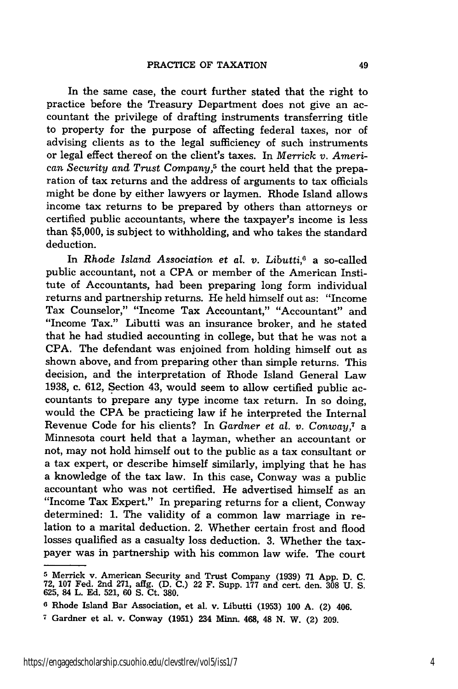In the same case, the court further stated that the right to practice before the Treasury Department does not give an accountant the privilege of drafting instruments transferring title to property for the purpose of affecting federal taxes, nor of advising clients as to the legal sufficiency of such instruments or legal effect thereof on the client's taxes. In *Merrick v.* American *Security and Trust Company,5* the court held that the preparation of tax returns and the address of arguments to tax officials might be done by either lawyers or laymen. Rhode Island allows income tax returns to be prepared by others than attorneys or certified public accountants, where the taxpayer's income is less than \$5,000, is subject to withholding, and who takes the standard deduction.

In *Rhode Island Association et al. v. Libutti,6* a so-called public accountant, not a CPA or member of the American Institute of Accountants, had been preparing long form individual returns and partnership returns. He held himself out as: "Income Tax Counselor," "Income Tax Accountant," "Accountant" and "Income Tax." Libutti was an insurance broker, and he stated that he had studied accounting in college, but that he was not a CPA. The defendant was enjoined from holding himself out as shown above, and from preparing other than simple returns. This decision, and the interpretation of Rhode Island General Law 1938, c. 612, Section 43, would seem to allow certified public accountants to prepare any type income tax return. In so doing, would the CPA be practicing law if he interpreted the Internal Revenue Code for his clients? In *Gardner et al. v. Conway,7* a Minnesota court held that a layman, whether an accountant or not, may not hold himself out to the public as a tax consultant or a tax expert, or describe himself similarly, implying that he has a knowledge of the tax law. In this case, Conway was a public accountant who was not certified. He advertised himself as an "Income Tax Expert." In preparing returns for a client, Conway determined: 1. The validity of a common law marriage in relation to a marital deduction. 2. Whether certain frost and flood losses qualified as a casualty loss deduction. 3. Whether the taxpayer was in partnership with his common law wife. The court

**<sup>5</sup>** Merrick v. American Security and Trust Company (1939) **71** App. D. C. **72, 107** Fed. 2nd 271, affg. (D. C.) 22 F. Supp. **177** and cert. den. **308** U. S. 625, 84 L. Ed. 521, 60 S. Ct. **380.**

**<sup>6</sup>** Rhode Island Bar Association, et al. v. Libutti (1953) **100 A.** (2) 406.

**<sup>7</sup>** Gardner et al. v. Conway **(1951)** 234 Minn. 468, 48 N. W. (2) 209.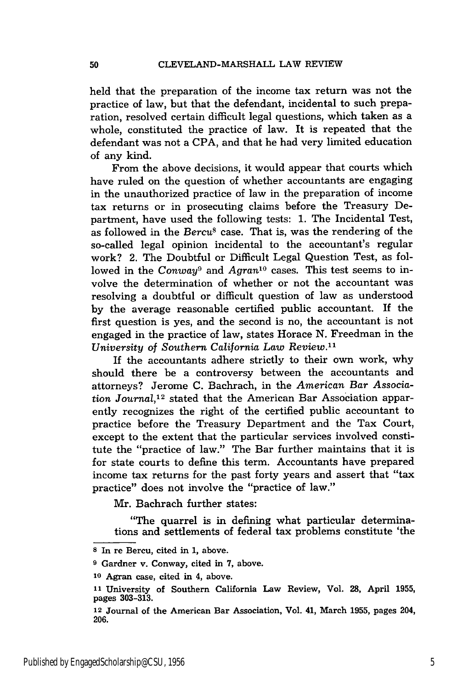held that the preparation of the income tax return was not the practice of law, but that the defendant, incidental to such preparation, resolved certain difficult legal questions, which taken as a whole, constituted the practice of law. It is repeated that the defendant was not a CPA, and that he had very limited education of any kind.

From the above decisions, it would appear that courts which have ruled on the question of whether accountants are engaging in the unauthorized practice of law in the preparation of income tax returns or in prosecuting claims before the Treasury Department, have used the following tests: 1. The Incidental Test, as followed in the *Bercu8* case. That is, was the rendering of the so-called legal opinion incidental to the accountant's regular work? 2. The Doubtful or Difficult Legal Question Test, as followed in the *Conway*<sup>9</sup> and *Agran*<sup>10</sup> cases. This test seems to involve the determination of whether or not the accountant was resolving a doubtful or difficult question of law as understood by the average reasonable certified public accountant. If the first question is yes, and the second is no, the accountant is not engaged in the practice of law, states Horace N. Freedman in the *University* of Southern *California Law Review. <sup>1</sup>*

If the accountants adhere strictly to their own work, why should there be a controversy between the accountants and attorneys? Jerome C. Bachrach, in the *American Bar Association Journal,1 2* stated that the American Bar Association apparently recognizes the right of the certified public accountant to practice before the Treasury Department and the Tax Court, except to the extent that the particular services involved constitute the "practice of law." The Bar further maintains that it is for state courts to define this term. Accountants have prepared income tax returns for the past forty years and assert that "tax practice" does not involve the "practice of law."

Mr. Bachrach further states:

"The quarrel is in defining what particular determinations and settlements of federal tax problems constitute 'the

**<sup>8</sup>** In re Bercu, cited in 1, above.

**<sup>9</sup>** Gardner v. Conway, cited in 7, above.

**<sup>10</sup>**Agran case, cited in 4, above.

**<sup>1</sup>** University of Southern California Law Review, Vol. **28,** April **1955,** pages **303-313.**

**<sup>12</sup>**Journal of the American Bar Association, Vol. 41, March **1955,** pages 204, **206.**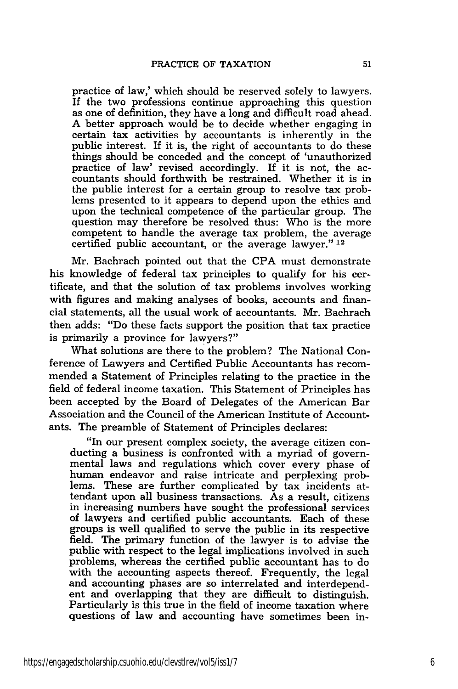practice of law,' which should be reserved solely to lawyers. If the two professions continue approaching this question as one of definition, they have a long and difficult road ahead. A better approach would be to decide whether engaging in certain tax activities by accountants is inherently in the public interest. If it is, the right of accountants to do these things should be conceded and the concept of 'unauthorized practice of law' revised accordingly. If it is not, the accountants should forthwith be restrained. Whether it is in the public interest for a certain group to resolve tax problems presented to it appears to depend upon the ethics and upon the technical competence of the particular group. The question may therefore be resolved thus: Who is the more competent to handle the average tax problem, the average certified public accountant, or the average lawyer." <sup>12</sup>

Mr. Bachrach pointed out that the CPA must demonstrate his knowledge of federal tax principles to qualify for his certificate, and that the solution of tax problems involves working with figures and making analyses of books, accounts and financial statements, all the usual work of accountants. Mr. Bachrach then adds: "Do these facts support the position that tax practice is primarily a province for lawyers?"

What solutions are there to the problem? The National Conference of Lawyers and Certified Public Accountants has recommended a Statement of Principles relating to the practice in the field of federal income taxation. This Statement of Principles has been accepted by the Board of Delegates of the American Bar Association and the Council of the American Institute of Accountants. The preamble of Statement of Principles declares:

"In our present complex society, the average citizen conducting a business is confronted with a myriad of govern- mental laws and regulations which cover every phase of human endeavor and raise intricate and perplexing problems. These are further complicated by tax incidents attendant upon all business transactions. As a result, citizens in increasing numbers have sought the professional services of lawyers and certified public accountants. Each of these groups is well qualified to serve the public in its respective field. The primary function of the lawyer is to advise the public with respect to the legal implications involved in such problems, whereas the certified public accountant has to do with the accounting aspects thereof. Frequently, the legal and accounting phases are so interrelated and interdependent and overlapping that they are difficult to distinguish. Particularly is this true in the field of income taxation where questions of law and accounting have sometimes been in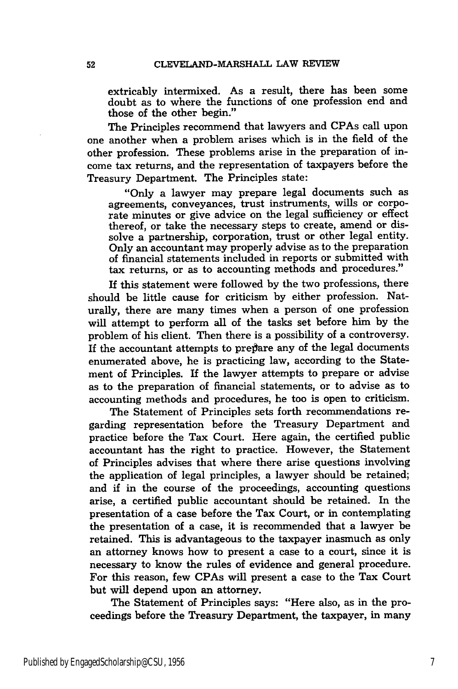extricably intermixed. As a result, there has been some doubt as to where the functions of one profession end and those of the other begin."

The Principles recommend that lawyers and CPAs call upon one another when a problem arises which is in the field of the other profession. These problems arise in the preparation of income tax returns, and the representation of taxpayers before the Treasury Department. The Principles state:

"Only a lawyer may prepare legal documents such as agreements, conveyances, trust instruments, wills or corporate minutes or give advice on the legal sufficiency or effect thereof, or take the necessary steps to create, amend or dissolve a partnership, corporation, trust or other legal entity. Only an accountant may properly advise as to the preparation of financial statements included in reports or submitted with tax returns, or as to accounting methods and procedures."

If this statement were followed **by** the two professions, there should be little cause for criticism **by** either profession. Naturally, there are many times when a person of one profession will attempt to perform all of the tasks set before him **by** the problem of his client. Then there is a possibility of a controversy. If the accountant attempts to prepare any of the legal documents enumerated above, he is practicing law, according to the Statement of Principles. If the lawyer attempts to prepare or advise as to the preparation of financial statements, or to advise as to accounting methods and procedures, he too is open to criticism.

The Statement of Principles sets forth recommendations regarding representation before the Treasury Department and practice before the Tax Court. Here again, the certified public accountant has the right to practice. However, the Statement of Principles advises that where there arise questions involving the application of legal principles, a lawyer should be retained; and if in the course of the proceedings, accounting questions arise, a certified public accountant should be retained. In the presentation of a case before the Tax Court, or in contemplating the presentation of a case, it is recommended that a lawyer be retained. This is advantageous to the taxpayer inasmuch as only an attorney knows how to present a case to a court, since it is necessary to know the rules of evidence and general procedure. For this reason, few CPAs will present a case to the Tax Court but will depend upon an attorney.

The Statement of Principles says: "Here also, as in the proceedings before the Treasury Department, the taxpayer, in many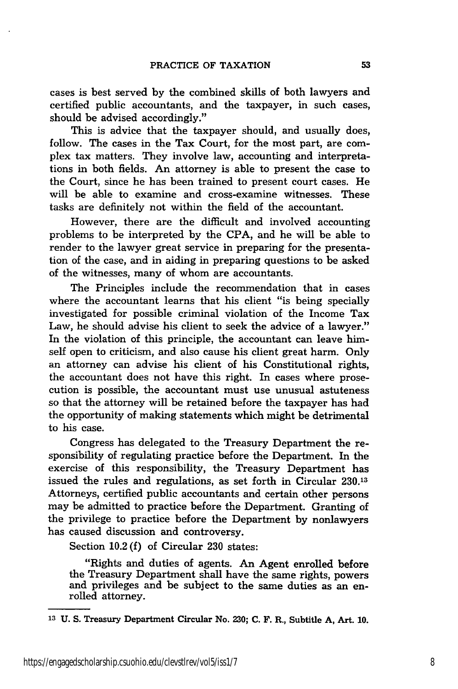cases is best served by the combined skills of both lawyers and certified public accountants, and the taxpayer, in such cases, should be advised accordingly."

This is advice that the taxpayer should, and usually does, follow. The cases in the Tax Court, for the most part, are complex tax matters. They involve law, accounting and interpretations in both fields. An attorney is able to present the case to the Court, since he has been trained to present court cases. He will be able to examine and cross-examine witnesses. These tasks are definitely not within the field of the accountant.

However, there are the difficult and involved accounting problems to be interpreted by the CPA, and he will be able to render to the lawyer great service in preparing for the presentation of the case, and in aiding in preparing questions to be asked of the witnesses, many of whom are accountants.

The Principles include the recommendation that in cases where the accountant learns that his client "is being specially investigated for possible criminal violation of the Income Tax Law, he should advise his client to seek the advice of a lawyer." In the violation of this principle, the accountant can leave himself open to criticism, and also cause his client great harm. Only an attorney can advise his client of his Constitutional rights, the accountant does not have this right. In cases where prosecution is possible, the accountant must use unusual astuteness so that the attorney will be retained before the taxpayer has had the opportunity of making statements which might be detrimental to his case.

Congress has delegated to the Treasury Department the responsibility of regulating practice before the Department. In the exercise of this responsibility, the Treasury Department has issued the rules and regulations, as set forth in Circular **230.13** Attorneys, certified public accountants and certain other persons may be admitted to practice before the Department. Granting of the privilege to practice before the Department by nonlawyers has caused discussion and controversy.

Section 10.2 (f) of Circular 230 states:

"Rights and duties of agents. An Agent enrolled before the Treasury Department shall have the same rights, powers and privileges and be subject to the same duties as an enrolled attorney.

**<sup>13</sup>U. S.** Treasury Department Circular No. **230;** C. F. R., Subtitle **A,** Art. **10.**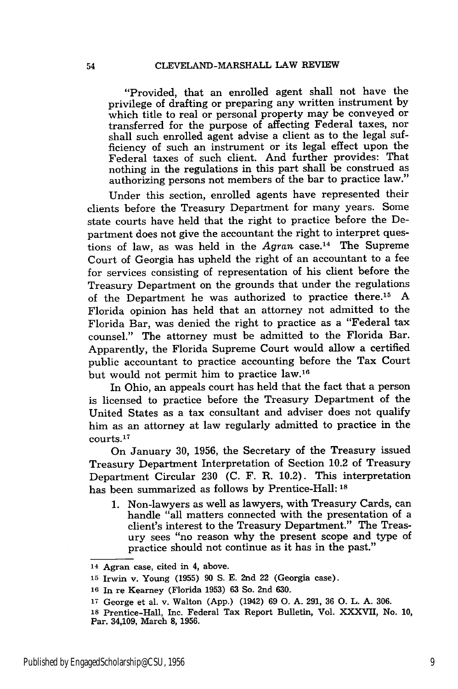"Provided, that an enrolled agent shall not have the privilege of drafting or preparing any written instrument by which title to real or personal property may be conveyed or transferred for the purpose of affecting Federal taxes, nor shall such enrolled agent advise a client as to the legal sufficiency of such an instrument or its legal effect upon the Federal taxes of such client. And further provides: That nothing in the regulations in this part shall be construed as authorizing persons not members of the bar to practice law."

Under this section, enrolled agents have represented their clients before the Treasury Department for many years. Some state courts have held that the right to practice before the Department does not give the accountant the right to interpret questions of law, as was held in the *Agran* case.14 The Supreme Court of Georgia has upheld the right of an accountant to a fee for services consisting of representation of his client before the Treasury Department on the grounds that under the regulations of the Department he was authorized to practice there.15 A Florida opinion has held that an attorney not admitted to the Florida Bar, was denied the right to practice as a "Federal tax counsel." The attorney must be admitted to the Florida Bar. Apparently, the Florida Supreme Court would allow a certified public accountant to practice accounting before the Tax Court but would not permit him to practice law.<sup>16</sup>

In Ohio, an appeals court has held that the fact that a person is licensed to practice before the Treasury Department of the United States as a tax consultant and adviser does not qualify him as an attorney at law regularly admitted to practice in the -<br>courts.<sup>17</sup>

On January 30, 1956, the Secretary of the Treasury issued Treasury Department Interpretation of Section 10.2 of Treasury Department Circular 230 (C. F. R. 10.2). This interpretation has been summarized as follows by Prentice-Hall: **18**

1. Non-lawyers as well as lawyers, with Treasury Cards, can handle "all matters connected with the presentation of a client's interest to the Treasury Department." The Treasury sees "no reason why the present scope and type of practice should not continue as it has in the past."

<sup>14</sup> Agran case, cited in 4, above.

**<sup>15</sup>**Irwin v. Young (1955) 90 **S.** E. 2nd 22 (Georgia case).

**<sup>16</sup>**In re Kearney (Florida 1953) 63 So. 2nd 630.

**<sup>17</sup>**George et al. v. Walton (App.) (1942) 69 **0.** A. 291, 36 **0.** L. A. 306.

<sup>18</sup> Prentice-Hall, Inc. Federal Tax Report Bulletin, Vol. XXXVII, No. 10, Par. 34,109, March 8, 1956.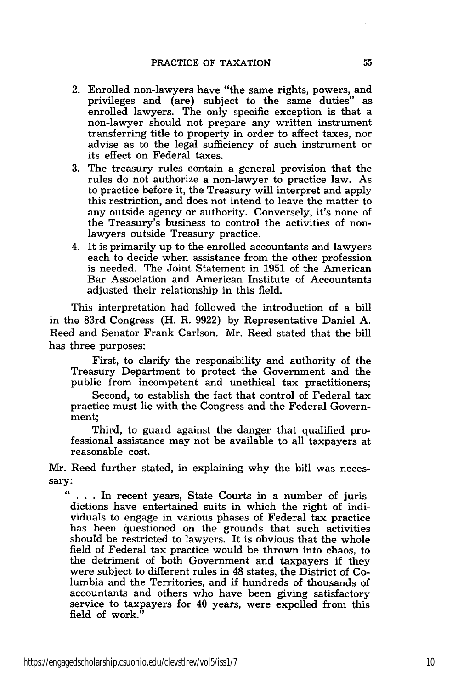- 2. Enrolled non-lawyers have "the same rights, powers, and privileges and (are) subject to the same duties" as enrolled lawyers. The only specific exception is that a non-lawyer should not prepare any written instrument transferring title to property in order to affect taxes, nor advise as to the legal sufficiency of such instrument or its effect on Federal taxes.
- 3. The treasury rules contain a general provision that the rules do not authorize a non-lawyer to practice law. As to practice before it, the Treasury will interpret and apply this restriction, and does not intend to leave the matter to any outside agency or authority. Conversely, it's none of the Treasury's business to control the activities of nonlawyers outside Treasury practice.
- 4. It is primarily up to the enrolled accountants and lawyers each to decide when assistance from the other profession is needed. The Joint Statement in 1951 of the American Bar Association and American Institute of Accountants adjusted their relationship in this field.

This interpretation had followed the introduction of a bill in the 83rd Congress (H. R. 9922) by Representative Daniel A. Reed and Senator Frank Carlson. Mr. Reed stated that the bill has three purposes:

First, to clarify the responsibility and authority of the Treasury Department to protect the Government and the public from incompetent and unethical tax practitioners;

Second, to establish the fact that control of Federal tax practice must lie with the Congress and the Federal Government;

Third, to guard against the danger that qualified professional assistance may not be available to all taxpayers at reasonable cost.

Mr. Reed further stated, in explaining why the bill was necessary:

44 **. . .** In recent years, State Courts in a number of jurisdictions have entertained suits in which the right of individuals to engage in various phases of Federal tax practice has been questioned on the grounds that such activities should be restricted to lawyers. It is obvious that the whole field of Federal tax practice would be thrown into chaos, to the detriment of both Government and taxpayers if they were subject to different rules in 48 states, the District of Columbia and the Territories, and if hundreds of thousands of accountants and others who have been giving satisfactory service to taxpayers for 40 years, were expelled from this field of work.'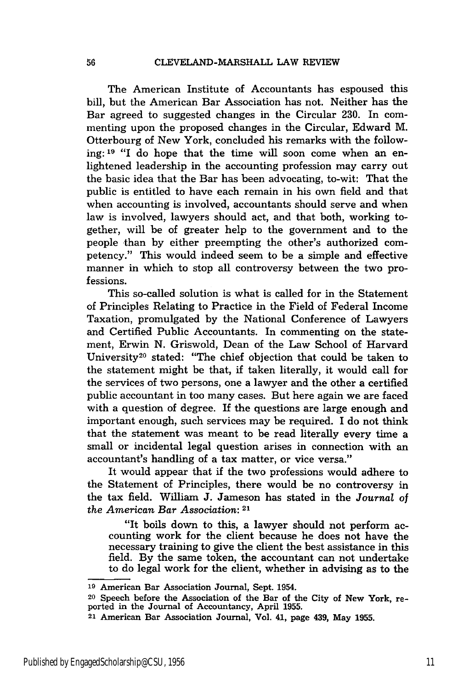The American Institute of Accountants has espoused this bill, but the American Bar Association has not. Neither has the Bar agreed to suggested changes in the Circular 230. In commenting upon the proposed changes in the Circular, Edward M. Otterbourg of New York, concluded his remarks with the following: **19** "1 do hope that the time will soon come when an enlightened leadership in the accounting profession may carry out the basic idea that the Bar has been advocating, to-wit: That the public is entitled to have each remain in his own field and that when accounting is involved, accountants should serve and when law is involved, lawyers should act, and that both, working together, will be of greater help to the government and to the people than by either preempting the other's authorized competency." This would indeed seem to be a simple and effective manner in which to stop all controversy between the two professions.

This so-called solution is what is called for in the Statement of Principles Relating to Practice in the Field of Federal Income Taxation, promulgated by the National Conference of Lawyers and Certified Public Accountants. In commenting on the statement, Erwin N. Griswold, Dean of the Law School of Harvard University<sup>20</sup> stated: "The chief objection that could be taken to the statement might be that, if taken literally, it would call for the services of two persons, one a lawyer and the other a certified public accountant in too many cases. But here again we are faced with a question of degree. If the questions are large enough and important enough, such services may be required. I do not think that the statement was meant to be read literally every time a small or incidental legal question arises in connection with an accountant's handling of a tax matter, or vice versa."

It would appear that if the two professions would adhere to the Statement of Principles, there would be no controversy in the tax field. William **J.** Jameson has stated in the *Journal* of *the American Bar Association:* **<sup>21</sup>**

"It boils down to this, a lawyer should not perform accounting work for the client because he does not have the necessary training to give the client the best assistance in this field. By the same token, the accountant can not undertake to do legal work for the client, whether in advising as to the

**<sup>19</sup>**American Bar Association Journal, Sept. 1954.

<sup>20</sup> Speech before the Association of the Bar of the City of New York, reported in the Journal of Accountancy, April 1955.

<sup>21</sup> American Bar Association Journal, Vol. 41, page 439, May 1955.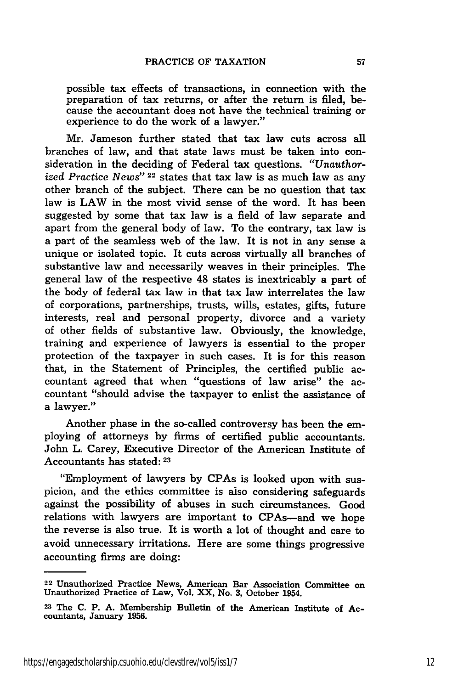possible tax effects of transactions, in connection with the preparation of tax returns, or after the return is filed, because the accountant does not have the technical training or experience to do the work of a lawyer."

Mr. Jameson further stated that tax law cuts across all branches of law, and that state laws must be taken into consideration in the deciding of Federal tax questions. *"Unauthorized Practice News"* 22 states that tax law is as much law as any other branch of the subject. There can be no question that tax law is LAW in the most vivid sense of the word. It has been suggested by some that tax law is a field of law separate and apart from the general body of law. To the contrary, tax law is a part of the seamless web of the law. It is not in any sense a unique or isolated topic. It cuts across virtually all branches of substantive law and necessarily weaves in their principles. The general law of the respective 48 states is inextricably a part of the body of federal tax law in that tax law interrelates the law of corporations, partnerships, trusts, wills, estates, gifts, future interests, real and personal property, divorce and a variety of other fields of substantive law. Obviously, the knowledge, training and experience of lawyers is essential to the proper protection of the taxpayer in such cases. It is for this reason that, in the Statement of Principles, the certified public accountant agreed that when "questions of law arise" the accountant "should advise the taxpayer to enlist the assistance of a lawyer."

Another phase in the so-called controversy has been the employing of attorneys by firms of certified public accountants. John L. Carey, Executive Director of the American Institute of Accountants has stated: **<sup>23</sup>**

"Employment of lawyers by CPAs is looked upon with suspicion, and the ethics committee is also considering safeguards against the possibility of abuses in such circumstances. Good relations with lawyers are important to CPAs-and we hope the reverse is also true. It is worth a lot of thought and care to avoid unnecessary irritations. Here are some things progressive accounting firms are doing:

<sup>&</sup>lt;sup>22</sup> Unauthorized Practice News, American Bar Association Committee or Unauthorized Practice of Law, Vol. XX, No. 3, October 1954.

**<sup>23</sup>** The C. P. **A.** Membership Bulletin of the American Institute of Accountants, January **1956.**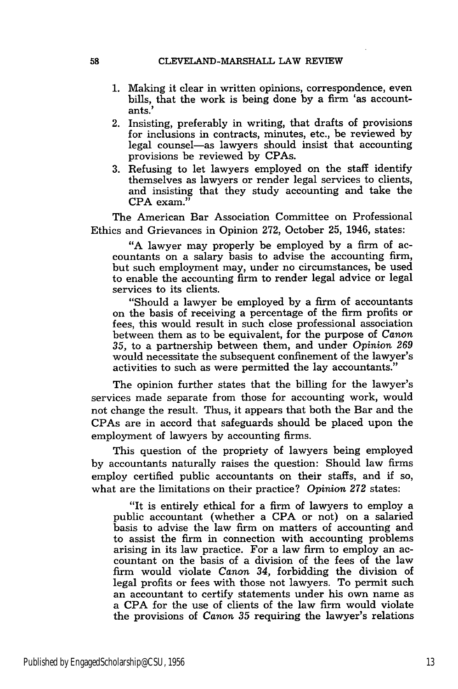- **1.** Making it clear in written opinions, correspondence, even bills, that the work is being done by a firm 'as accountants.'
- 2. Insisting, preferably in writing, that drafts of provisions for inclusions in contracts, minutes, etc., be reviewed by legal counsel-as lawyers should insist that accounting provisions be reviewed by CPAs.
- 3. Refusing to let lawyers employed on the staff identify themselves as lawyers or render legal services to clients, and insisting that they study accounting and take the CPA exam."

The American Bar Association Committee on Professional Ethics and Grievances in Opinion 272, October 25, 1946, states:

"A lawyer may properly be employed by a firm of accountants on a salary basis to advise the accounting firm, but such employment may, under no circumstances, be used to enable the accounting firm to render legal advice or legal services to its clients.

"Should a lawyer be employed by a firm of accountants on the basis of receiving a percentage of the firm profits or fees, this would result in such close professional association between them as to be equivalent, for the purpose of Canon *35,* to a partnership between them, and under *Opinion 269* would necessitate the subsequent confinement of the lawyer's activities to such as were permitted the lay accountants."

The opinion further states that the billing for the lawyer's services made separate from those for accounting work, would not change the result. Thus, it appears that both the Bar and the CPAs are in accord that safeguards should be placed upon the employment of lawyers by accounting firms.

This question of the propriety of lawyers being employed by accountants naturally raises the question: Should law firms employ certified public accountants on their staffs, and if so, what are the limitations on their practice? *Opinion 272* states:

"It is entirely ethical for a firm of lawyers to employ a public accountant (whether a CPA or not) on a salaried basis to advise the law firm on matters of accounting and to assist the firm in connection with accounting problems arising in its law practice. For a law firm to employ an accountant on the basis of a division of the fees of the law firm would violate Canon 34, forbidding the division of legal profits or fees with those not lawyers. To permit such an accountant to certify statements under his own name as a CPA for the use of clients of the law firm would violate the provisions of *Canon 35* requiring the lawyer's relations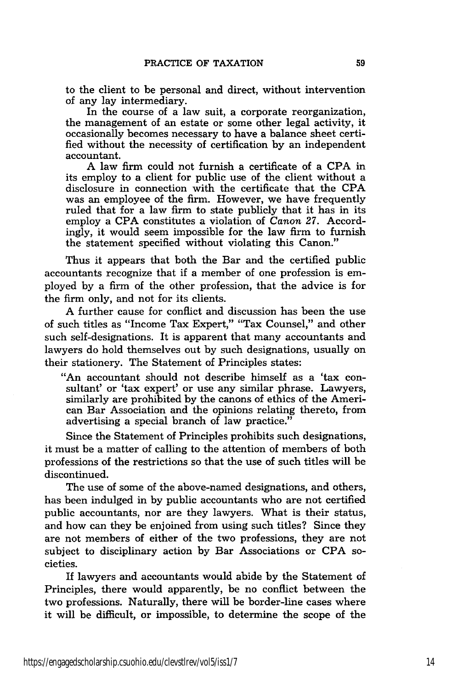to the client to be personal and direct, without intervention of any lay intermediary.

In the course of a law suit, a corporate reorganization, the management of an estate or some other legal activity, it occasionally becomes necessary to have a balance sheet certified without the necessity of certification by an independent accountant.

A law firm could not furnish a certificate of a CPA in its employ to a client for public use of the client without a disclosure in connection with the certificate that the CPA was an employee of the firm. However, we have frequently ruled that for a law firm to state publicly that it has in its employ a CPA constitutes a violation of *Canon 27.* Accordingly, it would seem impossible for the law firm to furnish the statement specified without violating this Canon."

Thus it appears that both the Bar and the certified public accountants recognize that if a member of one profession is employed by a firm of the other profession, that the advice is for the firm only, and not for its clients.

A further cause for conflict and discussion has been the use of such titles as "Income Tax Expert," "Tax Counsel," and other such self-designations. It is apparent that many accountants and lawyers do hold themselves out by such designations, usually on their stationery. The Statement of Principles states:

"An accountant should not describe himself as a 'tax consultant' or 'tax expert' or use any similar phrase. Lawyers, similarly are prohibited by the canons of ethics of the American Bar Association and the opinions relating thereto, from advertising a special branch of law practice."

Since the Statement of Principles prohibits such designations, it must be a matter of calling to the attention of members of both professions of the restrictions so that the use of such titles will be discontinued.

The use of some of the above-named designations, and others, has been indulged in by public accountants who are not certified public accountants, nor are they lawyers. What is their status, and how can they be enjoined from using such titles? Since they are not members of either of the two professions, they are not subject to disciplinary action by Bar Associations or CPA societies.

If lawyers and accountants would abide by the Statement of Principles, there would apparently, be no conflict between the two professions. Naturally, there will be border-line cases where it will be difficult, or impossible, to determine the scope of the